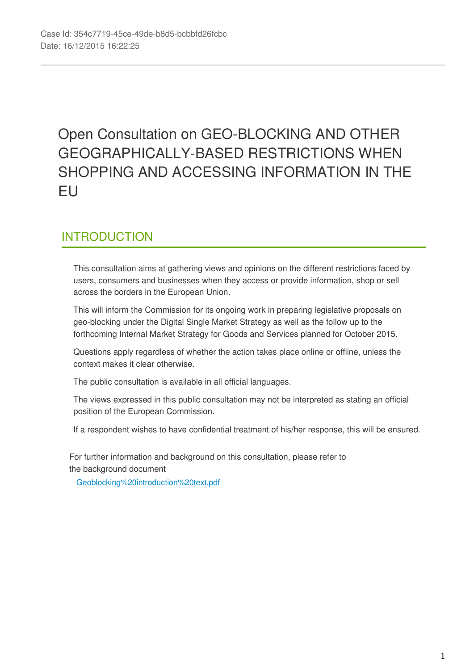# Open Consultation on GEO-BLOCKING AND OTHER GEOGRAPHICALLY-BASED RESTRICTIONS WHEN SHOPPING AND ACCESSING INFORMATION IN THE EU

## INTRODUCTION

This consultation aims at gathering views and opinions on the different restrictions faced by users, consumers and businesses when they access or provide information, shop or sell across the borders in the European Union.

This will inform the Commission for its ongoing work in preparing legislative proposals on geo-blocking under the Digital Single Market Strategy as well as the follow up to the forthcoming Internal Market Strategy for Goods and Services planned for October 2015.

Questions apply regardless of whether the action takes place online or offline, unless the context makes it clear otherwise.

The public consultation is available in all official languages.

The views expressed in this public consultation may not be interpreted as stating an official position of the European Commission.

If a respondent wishes to have confidential treatment of his/her response, this will be ensured.

For further information and background on this consultation, please refer to the background document

[Geoblocking%20introduction%20text.pdf](https://ec.europa.eu/eusurvey/files/0a9debaa-2d76-4877-b75a-f987812ebe74)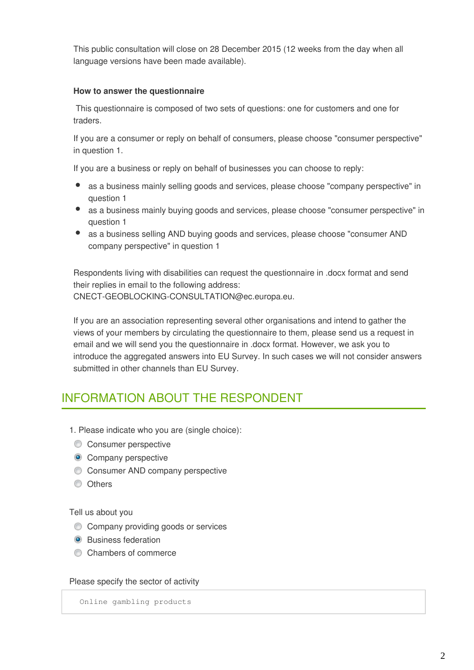This public consultation will close on 28 December 2015 (12 weeks from the day when all language versions have been made available).

## **How to answer the questionnaire**

 This questionnaire is composed of two sets of questions: one for customers and one for traders.

If you are a consumer or reply on behalf of consumers, please choose "consumer perspective" in question 1.

If you are a business or reply on behalf of businesses you can choose to reply:

- as a business mainly selling goods and services, please choose "company perspective" in question 1
- as a business mainly buying goods and services, please choose "consumer perspective" in question 1
- as a business selling AND buying goods and services, please choose "consumer AND company perspective" in question 1

Respondents living with disabilities can request the questionnaire in .docx format and send their replies in email to the following address: CNECT-GEOBLOCKING-CONSULTATION@ec.europa.eu.

If you are an association representing several other organisations and intend to gather the views of your members by circulating the questionnaire to them, please send us a request in email and we will send you the questionnaire in .docx format. However, we ask you to introduce the aggregated answers into EU Survey. In such cases we will not consider answers submitted in other channels than EU Survey.

## INFORMATION ABOUT THE RESPONDENT

- 1. Please indicate who you are (single choice):
- **Consumer perspective**
- **Company perspective**
- Consumer AND company perspective
- **Others**

Tell us about you

- **Company providing goods or services**
- **O** Business federation
- Chambers of commerce

Please specify the sector of activity

Online gambling products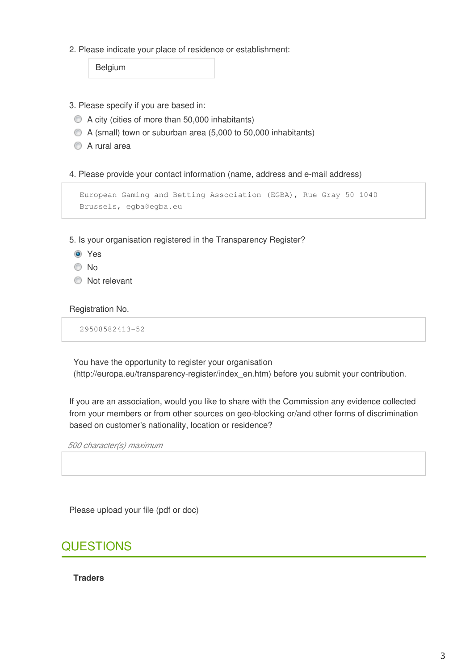2. Please indicate your place of residence or establishment:

Belgium

- 3. Please specify if you are based in:
	- A city (cities of more than 50,000 inhabitants)
	- A (small) town or suburban area (5,000 to 50,000 inhabitants)
	- A rural area
- 4. Please provide your contact information (name, address and e-mail address)

```
European Gaming and Betting Association (EGBA), Rue Gray 50 1040
Brussels, egba@egba.eu
```
5. Is your organisation registered in the Transparency Register?

- Yes
- <sup>O</sup>No
- **Not relevant**

Registration No.

29508582413-52

You have the opportunity to register your organisation (http://europa.eu/transparency-register/index\_en.htm) before you submit your contribution.

If you are an association, would you like to share with the Commission any evidence collected from your members or from other sources on geo-blocking or/and other forms of discrimination based on customer's nationality, location or residence?

*500 character(s) maximum* 

Please upload your file (pdf or doc)

## **QUESTIONS**

**Traders**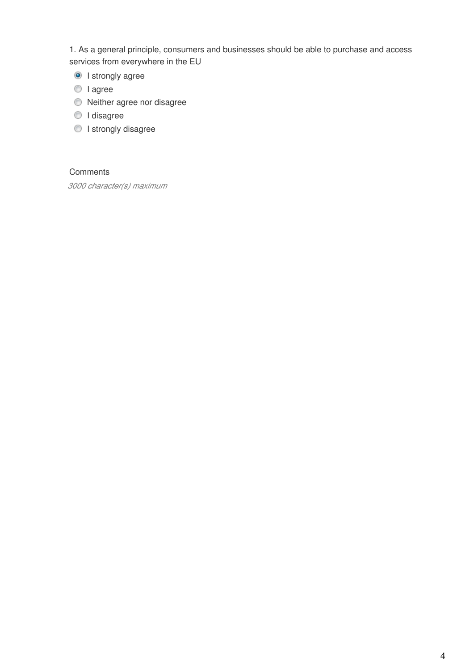1. As a general principle, consumers and businesses should be able to purchase and access services from everywhere in the EU

**O** I strongly agree

- I agree
- Neither agree nor disagree
- I disagree
- **I** strongly disagree

## **Comments**

*3000 character(s) maximum*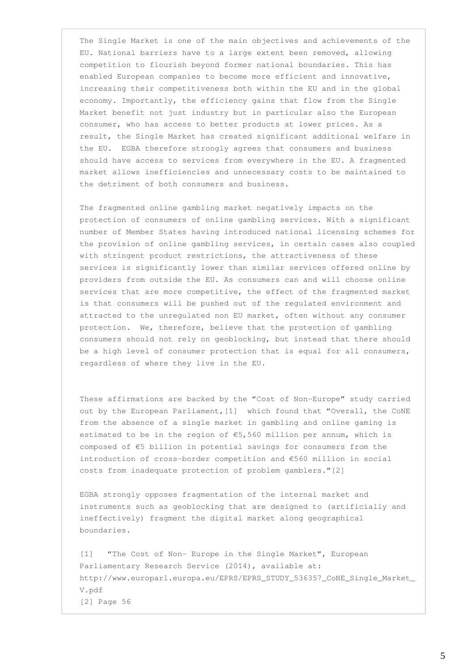The Single Market is one of the main objectives and achievements of the EU. National barriers have to a large extent been removed, allowing competition to flourish beyond former national boundaries. This has enabled European companies to become more efficient and innovative, increasing their competitiveness both within the EU and in the global economy. Importantly, the efficiency gains that flow from the Single Market benefit not just industry but in particular also the European consumer, who has access to better products at lower prices. As a result, the Single Market has created significant additional welfare in the EU. EGBA therefore strongly agrees that consumers and business should have access to services from everywhere in the EU. A fragmented market allows inefficiencies and unnecessary costs to be maintained to the detriment of both consumers and business.

The fragmented online gambling market negatively impacts on the protection of consumers of online gambling services. With a significant number of Member States having introduced national licensing schemes for the provision of online gambling services, in certain cases also coupled with stringent product restrictions, the attractiveness of these services is significantly lower than similar services offered online by providers from outside the EU. As consumers can and will choose online services that are more competitive, the effect of the fragmented market is that consumers will be pushed out of the regulated environment and attracted to the unregulated non EU market, often without any consumer protection. We, therefore, believe that the protection of gambling consumers should not rely on geoblocking, but instead that there should be a high level of consumer protection that is equal for all consumers, regardless of where they live in the EU.

These affirmations are backed by the "Cost of Non-Europe" study carried out by the European Parliament,[1] which found that "Overall, the CoNE from the absence of a single market in gambling and online gaming is estimated to be in the region of  $\epsilon$ 5,560 million per annum, which is composed of €5 billion in potential savings for consumers from the introduction of cross-border competition and €560 million in social costs from inadequate protection of problem gamblers."[2]

EGBA strongly opposes fragmentation of the internal market and instruments such as geoblocking that are designed to (artificially and ineffectively) fragment the digital market along geographical boundaries.

[1] "The Cost of Non- Europe in the Single Market", European Parliamentary Research Service (2014), available at: http://www.europarl.europa.eu/EPRS/EPRS\_STUDY\_536357\_CoNE\_Single\_Market\_ V.pdf [2] Page 56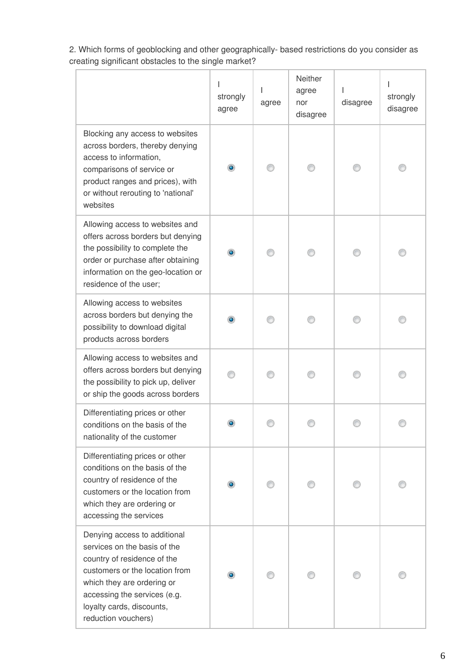**Neither** I I I agree I strongly strongly agree nor disagree agree disagree disagree Blocking any access to websites across borders, thereby denying access to information,  $\bullet$ ◉ ⊙ ◉ 0 comparisons of service or product ranges and prices), with or without rerouting to 'national' websites Allowing access to websites and offers across borders but denying the possibility to complete the ۵ ◉ ⊙ ◉ ◉ order or purchase after obtaining information on the geo-location or residence of the user; Allowing access to websites across borders but denying the ◉ ◉  $\bullet$ ⊙ ⊙ possibility to download digital products across borders Allowing access to websites and offers across borders but denying ◉ ◉ ⊙ ◉ 0 the possibility to pick up, deliver or ship the goods across borders Differentiating prices or other  $\bullet$ ◉ ⊙ ◉ ⊙ conditions on the basis of the nationality of the customer Differentiating prices or other conditions on the basis of the country of residence of the  $\bullet$ ◉ ⊙ ◉ ◉ customers or the location from which they are ordering or accessing the services Denying access to additional services on the basis of the country of residence of the customers or the location from ۱ ∩ ⊙ ∩ ⊙ which they are ordering or accessing the services (e.g. loyalty cards, discounts, reduction vouchers)

2. Which forms of geoblocking and other geographically- based restrictions do you consider as creating significant obstacles to the single market?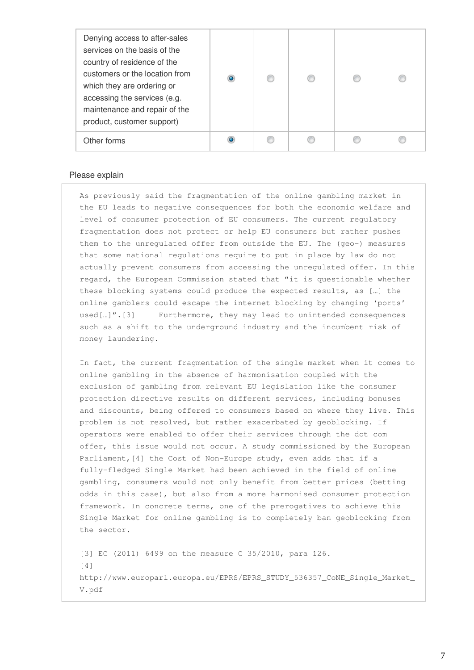| Denying access to after-sales<br>services on the basis of the<br>country of residence of the<br>customers or the location from<br>which they are ordering or<br>accessing the services (e.g.<br>maintenance and repair of the<br>product, customer support) |  |  |  |
|-------------------------------------------------------------------------------------------------------------------------------------------------------------------------------------------------------------------------------------------------------------|--|--|--|
| Other forms                                                                                                                                                                                                                                                 |  |  |  |

#### Please explain

As previously said the fragmentation of the online gambling market in the EU leads to negative consequences for both the economic welfare and level of consumer protection of EU consumers. The current regulatory fragmentation does not protect or help EU consumers but rather pushes them to the unregulated offer from outside the EU. The (geo-) measures that some national regulations require to put in place by law do not actually prevent consumers from accessing the unregulated offer. In this regard, the European Commission stated that "it is questionable whether these blocking systems could produce the expected results, as […] the online gamblers could escape the internet blocking by changing 'ports' used[…]".[3] Furthermore, they may lead to unintended consequences such as a shift to the underground industry and the incumbent risk of money laundering.

In fact, the current fragmentation of the single market when it comes to online gambling in the absence of harmonisation coupled with the exclusion of gambling from relevant EU legislation like the consumer protection directive results on different services, including bonuses and discounts, being offered to consumers based on where they live. This problem is not resolved, but rather exacerbated by geoblocking. If operators were enabled to offer their services through the dot com offer, this issue would not occur. A study commissioned by the European Parliament,[4] the Cost of Non-Europe study, even adds that if a fully-fledged Single Market had been achieved in the field of online gambling, consumers would not only benefit from better prices (betting odds in this case), but also from a more harmonised consumer protection framework. In concrete terms, one of the prerogatives to achieve this Single Market for online gambling is to completely ban geoblocking from the sector.

[3] EC (2011) 6499 on the measure C 35/2010, para 126.  $[4]$ http://www.europarl.europa.eu/EPRS/EPRS\_STUDY\_536357\_CoNE\_Single\_Market\_ V.pdf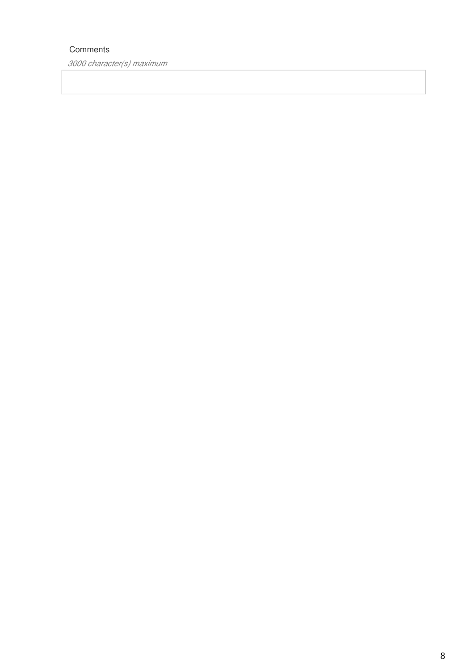## **Comments**

*3000 character(s) maximum*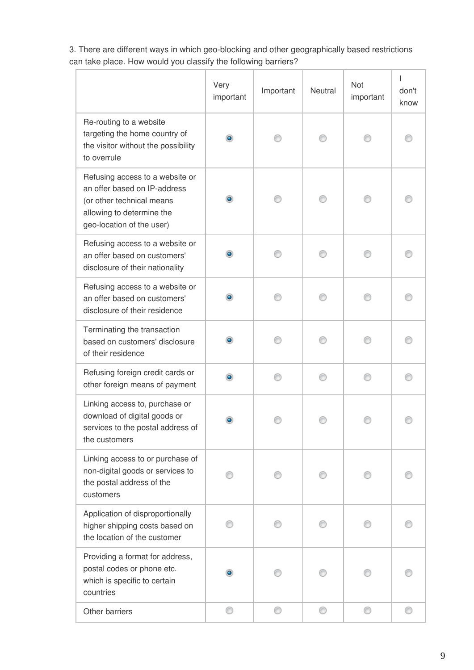3. There are different ways in which geo-blocking and other geographically based restrictions can take place. How would you classify the following barriers?

|                                                                                                                                                        | Very<br>important | Important | Neutral | Not<br>important | L<br>don't<br>know |
|--------------------------------------------------------------------------------------------------------------------------------------------------------|-------------------|-----------|---------|------------------|--------------------|
| Re-routing to a website<br>targeting the home country of<br>the visitor without the possibility<br>to overrule                                         |                   |           |         |                  |                    |
| Refusing access to a website or<br>an offer based on IP-address<br>(or other technical means<br>allowing to determine the<br>geo-location of the user) |                   |           |         |                  |                    |
| Refusing access to a website or<br>an offer based on customers'<br>disclosure of their nationality                                                     |                   |           |         |                  |                    |
| Refusing access to a website or<br>an offer based on customers'<br>disclosure of their residence                                                       |                   |           |         |                  |                    |
| Terminating the transaction<br>based on customers' disclosure<br>of their residence                                                                    |                   |           |         |                  |                    |
| Refusing foreign credit cards or<br>other foreign means of payment                                                                                     |                   |           |         |                  |                    |
| Linking access to, purchase or<br>download of digital goods or<br>services to the postal address of<br>the customers                                   |                   |           |         |                  |                    |
| Linking access to or purchase of<br>non-digital goods or services to<br>the postal address of the<br>customers                                         |                   |           |         |                  |                    |
| Application of disproportionally<br>higher shipping costs based on<br>the location of the customer                                                     |                   |           |         |                  |                    |
| Providing a format for address,<br>postal codes or phone etc.<br>which is specific to certain<br>countries                                             |                   |           |         |                  |                    |
| Other barriers                                                                                                                                         | ⊙                 | ⊙         | 0       | ⊙                |                    |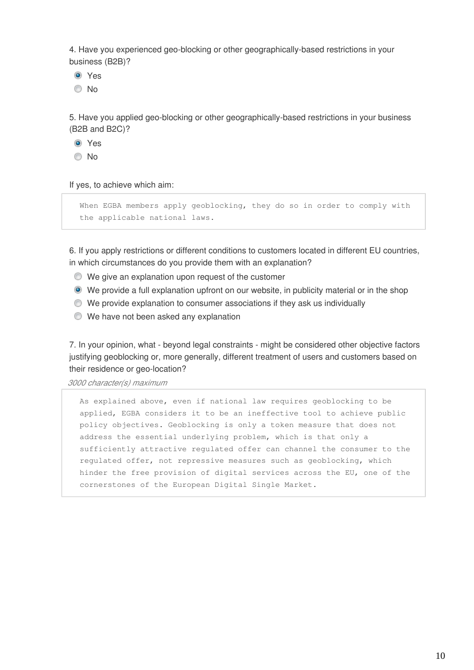4. Have you experienced geo-blocking or other geographically-based restrictions in your business (B2B)?

**O** Yes

© No

5. Have you applied geo-blocking or other geographically-based restrictions in your business (B2B and B2C)?

**O** Yes

© No

If yes, to achieve which aim:

When EGBA members apply geoblocking, they do so in order to comply with the applicable national laws.

6. If you apply restrictions or different conditions to customers located in different EU countries, in which circumstances do you provide them with an explanation?

- We give an explanation upon request of the customer
- We provide a full explanation upfront on our website, in publicity material or in the shop
- We provide explanation to consumer associations if they ask us individually
- We have not been asked any explanation

7. In your opinion, what - beyond legal constraints - might be considered other objective factors justifying geoblocking or, more generally, different treatment of users and customers based on their residence or geo-location?

*3000 character(s) maximum* 

As explained above, even if national law requires geoblocking to be applied, EGBA considers it to be an ineffective tool to achieve public policy objectives. Geoblocking is only a token measure that does not address the essential underlying problem, which is that only a sufficiently attractive regulated offer can channel the consumer to the regulated offer, not repressive measures such as geoblocking, which hinder the free provision of digital services across the EU, one of the cornerstones of the European Digital Single Market.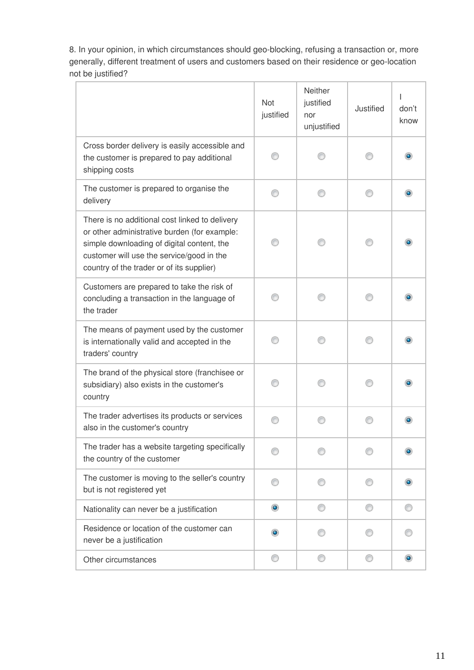8. In your opinion, in which circumstances should geo-blocking, refusing a transaction or, more generally, different treatment of users and customers based on their residence or geo-location not be justified?

|                                                                                                                                                                                                                                        | <b>Not</b><br>justified | Neither<br>justified<br>nor<br>unjustified | Justified | T<br>don't<br>know |
|----------------------------------------------------------------------------------------------------------------------------------------------------------------------------------------------------------------------------------------|-------------------------|--------------------------------------------|-----------|--------------------|
| Cross border delivery is easily accessible and<br>the customer is prepared to pay additional<br>shipping costs                                                                                                                         |                         |                                            |           |                    |
| The customer is prepared to organise the<br>delivery                                                                                                                                                                                   | ⋒                       |                                            |           |                    |
| There is no additional cost linked to delivery<br>or other administrative burden (for example:<br>simple downloading of digital content, the<br>customer will use the service/good in the<br>country of the trader or of its supplier) |                         |                                            |           |                    |
| Customers are prepared to take the risk of<br>concluding a transaction in the language of<br>the trader                                                                                                                                |                         |                                            |           |                    |
| The means of payment used by the customer<br>is internationally valid and accepted in the<br>traders' country                                                                                                                          |                         |                                            |           |                    |
| The brand of the physical store (franchisee or<br>subsidiary) also exists in the customer's<br>country                                                                                                                                 |                         |                                            |           |                    |
| The trader advertises its products or services<br>also in the customer's country                                                                                                                                                       |                         |                                            |           |                    |
| The trader has a website targeting specifically<br>the country of the customer                                                                                                                                                         |                         |                                            |           |                    |
| The customer is moving to the seller's country<br>but is not registered yet                                                                                                                                                            |                         |                                            |           |                    |
| Nationality can never be a justification                                                                                                                                                                                               | $\bullet$               |                                            |           |                    |
| Residence or location of the customer can<br>never be a justification                                                                                                                                                                  | $\bullet$               |                                            |           |                    |
| Other circumstances                                                                                                                                                                                                                    | ⊙                       | ⊙                                          | ⊙         | $\bullet$          |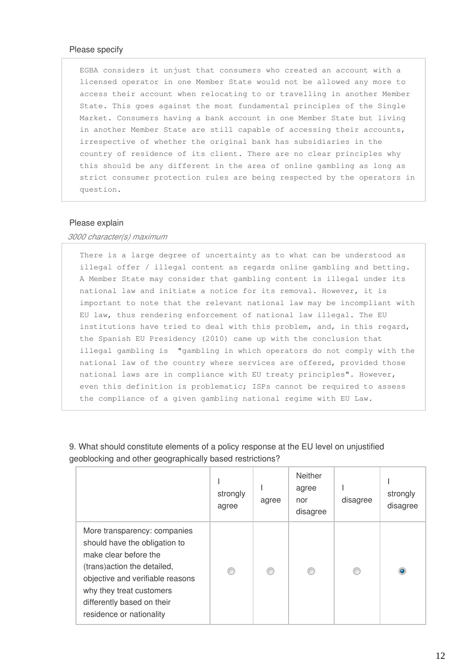#### Please specify

EGBA considers it unjust that consumers who created an account with a licensed operator in one Member State would not be allowed any more to access their account when relocating to or travelling in another Member State. This goes against the most fundamental principles of the Single Market. Consumers having a bank account in one Member State but living in another Member State are still capable of accessing their accounts, irrespective of whether the original bank has subsidiaries in the country of residence of its client. There are no clear principles why this should be any different in the area of online gambling as long as strict consumer protection rules are being respected by the operators in question.

#### Please explain

#### *3000 character(s) maximum*

There is a large degree of uncertainty as to what can be understood as illegal offer / illegal content as regards online gambling and betting. A Member State may consider that gambling content is illegal under its national law and initiate a notice for its removal. However, it is important to note that the relevant national law may be incompliant with EU law, thus rendering enforcement of national law illegal. The EU institutions have tried to deal with this problem, and, in this regard, the Spanish EU Presidency (2010) came up with the conclusion that illegal gambling is "gambling in which operators do not comply with the national law of the country where services are offered, provided those national laws are in compliance with EU treaty principles". However, even this definition is problematic; ISPs cannot be required to assess the compliance of a given gambling national regime with EU Law.

|                                                                                                                                                                                                                                                  | strongly<br>agree | agree | <b>Neither</b><br>agree<br>nor<br>disagree | disagree | strongly<br>disagree |
|--------------------------------------------------------------------------------------------------------------------------------------------------------------------------------------------------------------------------------------------------|-------------------|-------|--------------------------------------------|----------|----------------------|
| More transparency: companies<br>should have the obligation to<br>make clear before the<br>(trans) action the detailed,<br>objective and verifiable reasons<br>why they treat customers<br>differently based on their<br>residence or nationality |                   |       |                                            |          | ٥                    |

9. What should constitute elements of a policy response at the EU level on unjustified geoblocking and other geographically based restrictions?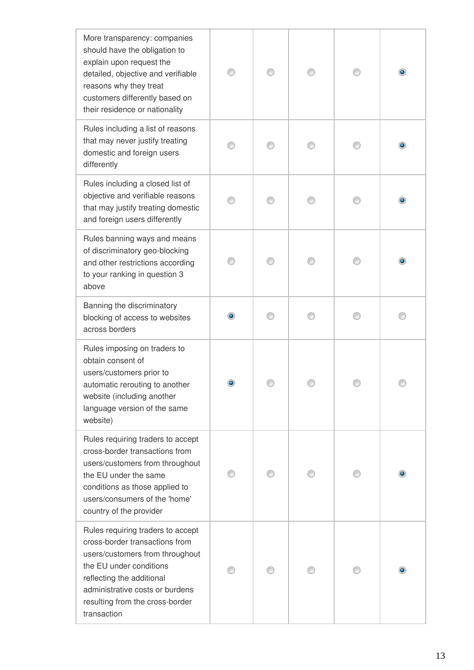| More transparency: companies<br>should have the obligation to<br>explain upon request the<br>detailed, objective and verifiable<br>reasons why they treat<br>customers differently based on<br>their residence or nationality                       |  |  |  |
|-----------------------------------------------------------------------------------------------------------------------------------------------------------------------------------------------------------------------------------------------------|--|--|--|
| Rules including a list of reasons<br>that may never justify treating<br>domestic and foreign users<br>differently                                                                                                                                   |  |  |  |
| Rules including a closed list of<br>objective and verifiable reasons<br>that may justify treating domestic<br>and foreign users differently                                                                                                         |  |  |  |
| Rules banning ways and means<br>of discriminatory geo-blocking<br>and other restrictions according<br>to your ranking in question 3<br>above                                                                                                        |  |  |  |
| Banning the discriminatory<br>blocking of access to websites<br>across borders                                                                                                                                                                      |  |  |  |
| Rules imposing on traders to<br>obtain consent of<br>users/customers prior to<br>automatic rerouting to another<br>website (including another<br>language version of the same<br>website)                                                           |  |  |  |
| Rules requiring traders to accept<br>cross-border transactions from<br>users/customers from throughout<br>the EU under the same<br>conditions as those applied to<br>users/consumers of the 'home'<br>country of the provider                       |  |  |  |
| Rules requiring traders to accept<br>cross-border transactions from<br>users/customers from throughout<br>the EU under conditions<br>reflecting the additional<br>administrative costs or burdens<br>resulting from the cross-border<br>transaction |  |  |  |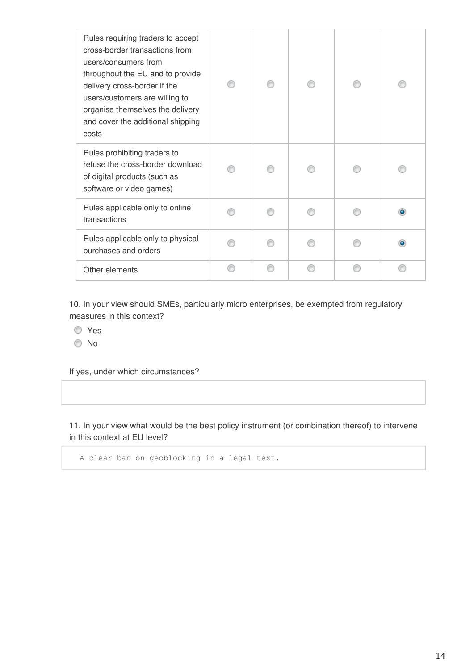| Rules requiring traders to accept<br>cross-border transactions from<br>users/consumers from<br>throughout the EU and to provide<br>delivery cross-border if the<br>users/customers are willing to<br>organise themselves the delivery<br>and cover the additional shipping<br>costs |  |  |  |
|-------------------------------------------------------------------------------------------------------------------------------------------------------------------------------------------------------------------------------------------------------------------------------------|--|--|--|
| Rules prohibiting traders to<br>refuse the cross-border download<br>of digital products (such as<br>software or video games)                                                                                                                                                        |  |  |  |
| Rules applicable only to online<br>transactions                                                                                                                                                                                                                                     |  |  |  |
| Rules applicable only to physical<br>purchases and orders                                                                                                                                                                                                                           |  |  |  |
| Other elements                                                                                                                                                                                                                                                                      |  |  |  |

10. In your view should SMEs, particularly micro enterprises, be exempted from regulatory measures in this context?

- Yes
- No

If yes, under which circumstances?

11. In your view what would be the best policy instrument (or combination thereof) to intervene in this context at EU level?

A clear ban on geoblocking in a legal text.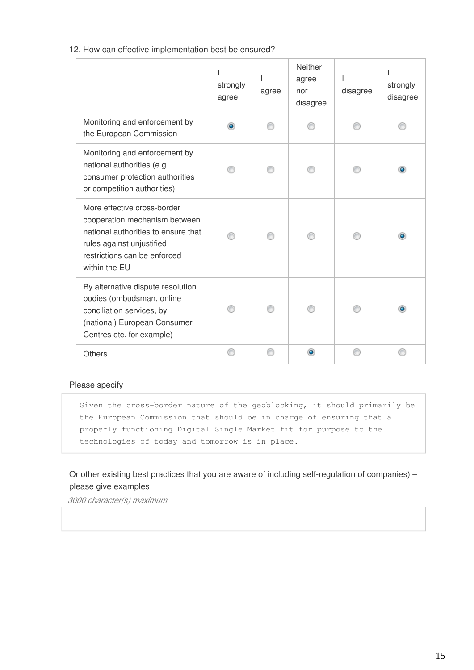12. How can effective implementation best be ensured?

|                                                                                                                                                                                   | strongly<br>agree | agree | <b>Neither</b><br>agree<br>nor<br>disagree | disagree | strongly<br>disagree |
|-----------------------------------------------------------------------------------------------------------------------------------------------------------------------------------|-------------------|-------|--------------------------------------------|----------|----------------------|
| Monitoring and enforcement by<br>the European Commission                                                                                                                          | ۰                 |       |                                            |          |                      |
| Monitoring and enforcement by<br>national authorities (e.g.<br>consumer protection authorities<br>or competition authorities)                                                     |                   |       |                                            |          |                      |
| More effective cross-border<br>cooperation mechanism between<br>national authorities to ensure that<br>rules against unjustified<br>restrictions can be enforced<br>within the EU |                   |       |                                            |          |                      |
| By alternative dispute resolution<br>bodies (ombudsman, online<br>conciliation services, by<br>(national) European Consumer<br>Centres etc. for example)                          |                   |       |                                            |          |                      |
| <b>Others</b>                                                                                                                                                                     |                   |       | $\bullet$                                  |          |                      |

### Please specify

Given the cross-border nature of the geoblocking, it should primarily be the European Commission that should be in charge of ensuring that a properly functioning Digital Single Market fit for purpose to the technologies of today and tomorrow is in place.

Or other existing best practices that you are aware of including self-regulation of companies) – please give examples

*3000 character(s) maximum*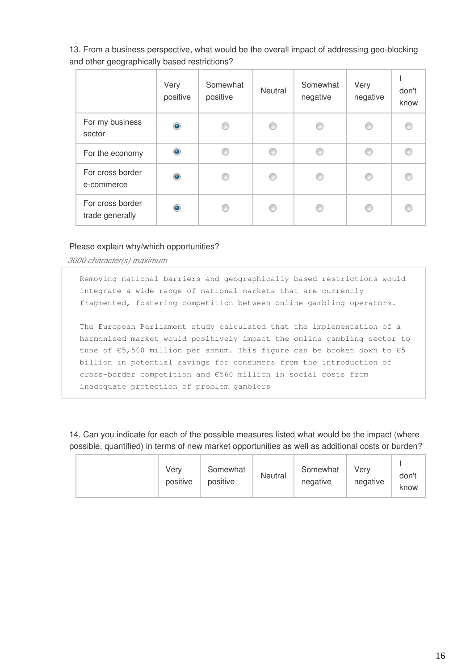13. From a business perspective, what would be the overall impact of addressing geo-blocking and other geographically based restrictions?

|                                     | Very<br>positive | Somewhat<br>positive | Neutral | Somewhat<br>negative | Very<br>negative | don't<br>know |
|-------------------------------------|------------------|----------------------|---------|----------------------|------------------|---------------|
| For my business<br>sector           | $\circledcirc$   | €                    | ⊙       | C                    | C                |               |
| For the economy                     | $\bullet$        | ⋒                    | ⊙       | C                    | ◉                |               |
| For cross border<br>e-commerce      | $\bullet$        |                      | ⊙       | O                    | C                |               |
| For cross border<br>trade generally | ۰                |                      | €       |                      | ⋒                |               |

### Please explain why/which opportunities?

*3000 character(s) maximum* 

Removing national barriers and geographically based restrictions would integrate a wide range of national markets that are currently fragmented, fostering competition between online gambling operators.

The European Parliament study calculated that the implementation of a harmonised market would positively impact the online gambling sector to tune of €5,560 million per annum. This figure can be broken down to €5 billion in potential savings for consumers from the introduction of cross-border competition and €560 million in social costs from inadequate protection of problem gamblers

14. Can you indicate for each of the possible measures listed what would be the impact (where possible, quantified) in terms of new market opportunities as well as additional costs or burden?

|  | Very<br>positive | Somewhat<br>positive | Neutral | Somewhat<br>negative | Very<br>negative | don't<br>know |
|--|------------------|----------------------|---------|----------------------|------------------|---------------|
|--|------------------|----------------------|---------|----------------------|------------------|---------------|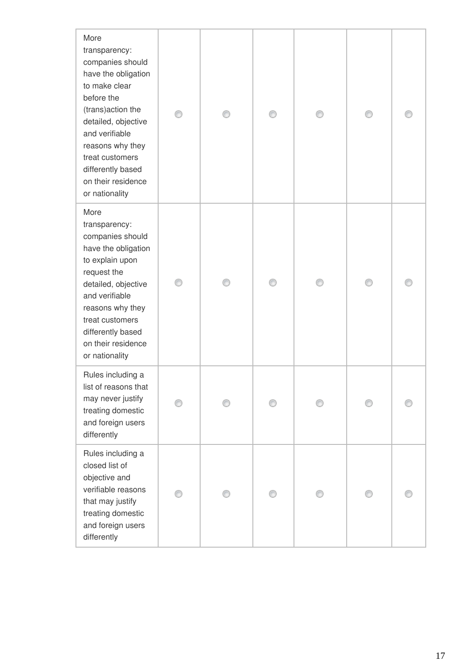| More<br>transparency:<br>companies should<br>have the obligation<br>to make clear<br>before the<br>(trans) action the<br>detailed, objective<br>and verifiable<br>reasons why they<br>treat customers<br>differently based<br>on their residence<br>or nationality |  |  |  |
|--------------------------------------------------------------------------------------------------------------------------------------------------------------------------------------------------------------------------------------------------------------------|--|--|--|
| More<br>transparency:<br>companies should<br>have the obligation<br>to explain upon<br>request the<br>detailed, objective<br>and verifiable<br>reasons why they<br>treat customers<br>differently based<br>on their residence<br>or nationality                    |  |  |  |
| Rules including a<br>list of reasons that<br>may never justify<br>treating domestic<br>and foreign users<br>differently                                                                                                                                            |  |  |  |
| Rules including a<br>closed list of<br>objective and<br>verifiable reasons<br>that may justify<br>treating domestic<br>and foreign users<br>differently                                                                                                            |  |  |  |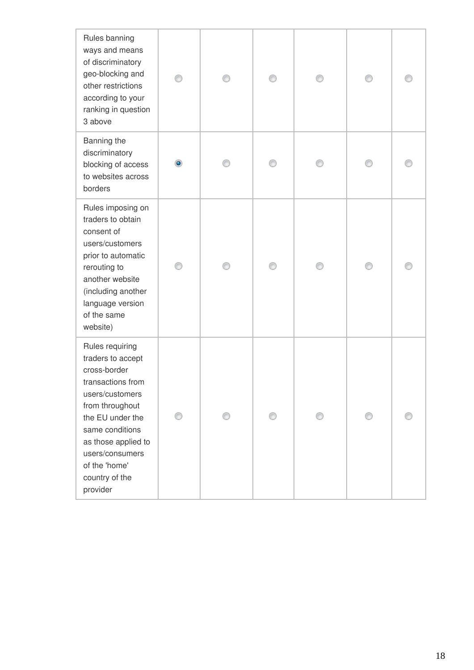| Rules banning<br>ways and means<br>of discriminatory<br>geo-blocking and<br>other restrictions<br>according to your<br>ranking in question<br>3 above                                                                                           |   |  |  |  |
|-------------------------------------------------------------------------------------------------------------------------------------------------------------------------------------------------------------------------------------------------|---|--|--|--|
| Banning the<br>discriminatory<br>blocking of access<br>to websites across<br>borders                                                                                                                                                            |   |  |  |  |
| Rules imposing on<br>traders to obtain<br>consent of<br>users/customers<br>prior to automatic<br>rerouting to<br>another website<br>(including another<br>language version<br>of the same<br>website)                                           |   |  |  |  |
| Rules requiring<br>traders to accept<br>cross-border<br>transactions from<br>users/customers<br>from throughout<br>the EU under the<br>same conditions<br>as those applied to<br>users/consumers<br>of the 'home'<br>country of the<br>provider | 0 |  |  |  |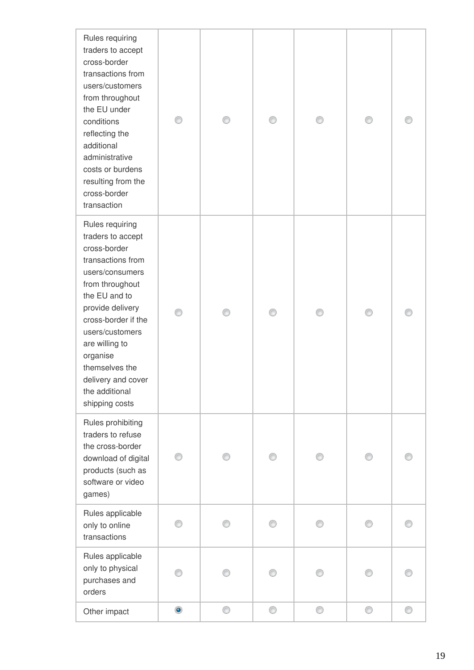| Rules requiring<br>traders to accept<br>cross-border<br>transactions from<br>users/customers<br>from throughout<br>the EU under<br>conditions<br>reflecting the<br>additional<br>administrative<br>costs or burdens<br>resulting from the<br>cross-border<br>transaction                                 |           |   |   |   |   |   |
|----------------------------------------------------------------------------------------------------------------------------------------------------------------------------------------------------------------------------------------------------------------------------------------------------------|-----------|---|---|---|---|---|
| Rules requiring<br>traders to accept<br>cross-border<br>transactions from<br>users/consumers<br>from throughout<br>the EU and to<br>provide delivery<br>cross-border if the<br>users/customers<br>are willing to<br>organise<br>themselves the<br>delivery and cover<br>the additional<br>shipping costs |           |   |   |   |   |   |
| Rules prohibiting<br>traders to refuse<br>the cross-border<br>download of digital<br>products (such as<br>software or video<br>games)                                                                                                                                                                    | ∩         |   | 0 |   |   |   |
| Rules applicable<br>only to online<br>transactions                                                                                                                                                                                                                                                       | ∩         |   | ∩ | ⋒ |   |   |
| Rules applicable<br>only to physical<br>purchases and<br>orders                                                                                                                                                                                                                                          |           |   |   |   |   |   |
| Other impact                                                                                                                                                                                                                                                                                             | $\bullet$ | 0 | 0 | 0 | 0 | ⊙ |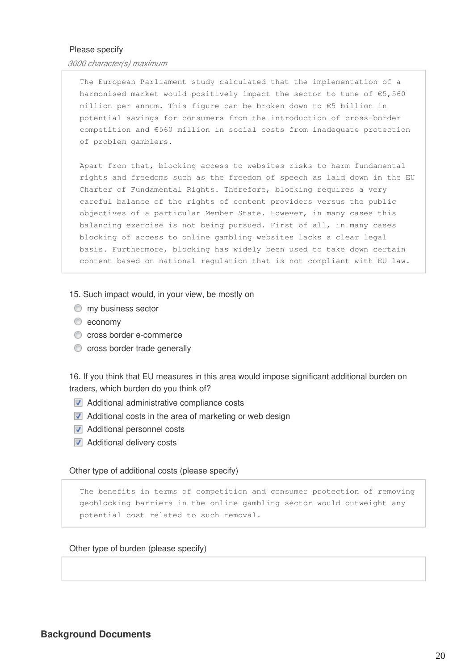### Please specify

*3000 character(s) maximum* 

The European Parliament study calculated that the implementation of a harmonised market would positively impact the sector to tune of €5,560 million per annum. This figure can be broken down to €5 billion in potential savings for consumers from the introduction of cross-border competition and €560 million in social costs from inadequate protection of problem gamblers.

Apart from that, blocking access to websites risks to harm fundamental rights and freedoms such as the freedom of speech as laid down in the EU Charter of Fundamental Rights. Therefore, blocking requires a very careful balance of the rights of content providers versus the public objectives of a particular Member State. However, in many cases this balancing exercise is not being pursued. First of all, in many cases blocking of access to online gambling websites lacks a clear legal basis. Furthermore, blocking has widely been used to take down certain content based on national regulation that is not compliant with EU law.

15. Such impact would, in your view, be mostly on

- $^{\circ}$  my business sector
- $\bullet$  economy
- cross border e-commerce
- **C** cross border trade generally

16. If you think that EU measures in this area would impose significant additional burden on traders, which burden do you think of?

- **Additional administrative compliance costs**
- **Additional costs in the area of marketing or web design**
- **Additional personnel costs**
- **Additional delivery costs**

Other type of additional costs (please specify)

The benefits in terms of competition and consumer protection of removing geoblocking barriers in the online gambling sector would outweight any potential cost related to such removal.

#### Other type of burden (please specify)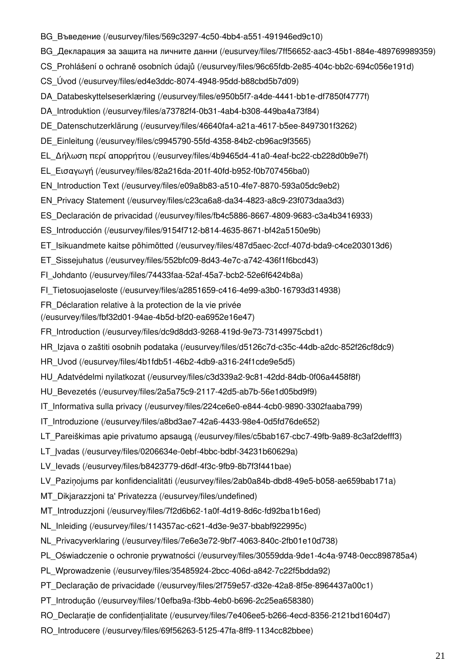- [BG\\_Въведение \(/eusurvey/files/569c3297-4c50-4bb4-a551-491946ed9c10\)](https://ec.europa.eu/eusurvey/files/569c3297-4c50-4bb4-a551-491946ed9c10)
- [BG\\_Декларация за защита на личните данни \(/eusurvey/files/7ff56652-aac3-45b1-884e-489769989359\)](https://ec.europa.eu/eusurvey/files/7ff56652-aac3-45b1-884e-489769989359)
- [CS\\_Prohlášení o ochraně osobních údajů \(/eusurvey/files/96c65fdb-2e85-404c-bb2c-694c056e191d\)](https://ec.europa.eu/eusurvey/files/96c65fdb-2e85-404c-bb2c-694c056e191d)
- [CS\\_Úvod \(/eusurvey/files/ed4e3ddc-8074-4948-95dd-b88cbd5b7d09\)](https://ec.europa.eu/eusurvey/files/ed4e3ddc-8074-4948-95dd-b88cbd5b7d09)
- [DA\\_Databeskyttelseserklæring \(/eusurvey/files/e950b5f7-a4de-4441-bb1e-df7850f4777f\)](https://ec.europa.eu/eusurvey/files/e950b5f7-a4de-4441-bb1e-df7850f4777f)
- [DA\\_Introduktion \(/eusurvey/files/a73782f4-0b31-4ab4-b308-449ba4a73f84\)](https://ec.europa.eu/eusurvey/files/a73782f4-0b31-4ab4-b308-449ba4a73f84)
- [DE\\_Datenschutzerklärung \(/eusurvey/files/46640fa4-a21a-4617-b5ee-8497301f3262\)](https://ec.europa.eu/eusurvey/files/46640fa4-a21a-4617-b5ee-8497301f3262)
- [DE\\_Einleitung \(/eusurvey/files/c9945790-55fd-4358-84b2-cb96ac9f3565\)](https://ec.europa.eu/eusurvey/files/c9945790-55fd-4358-84b2-cb96ac9f3565)
- [EL\\_Δήλωση περί απορρήτου \(/eusurvey/files/4b9465d4-41a0-4eaf-bc22-cb228d0b9e7f\)](https://ec.europa.eu/eusurvey/files/4b9465d4-41a0-4eaf-bc22-cb228d0b9e7f)
- [EL\\_Εισαγωγή \(/eusurvey/files/82a216da-201f-40fd-b952-f0b707456ba0\)](https://ec.europa.eu/eusurvey/files/82a216da-201f-40fd-b952-f0b707456ba0)
- [EN\\_Introduction Text \(/eusurvey/files/e09a8b83-a510-4fe7-8870-593a05dc9eb2\)](https://ec.europa.eu/eusurvey/files/e09a8b83-a510-4fe7-8870-593a05dc9eb2)
- [EN\\_Privacy Statement \(/eusurvey/files/c23ca6a8-da34-4823-a8c9-23f073daa3d3\)](https://ec.europa.eu/eusurvey/files/c23ca6a8-da34-4823-a8c9-23f073daa3d3)
- [ES\\_Declaración de privacidad \(/eusurvey/files/fb4c5886-8667-4809-9683-c3a4b3416933\)](https://ec.europa.eu/eusurvey/files/fb4c5886-8667-4809-9683-c3a4b3416933)
- [ES\\_Introducción \(/eusurvey/files/9154f712-b814-4635-8671-bf42a5150e9b\)](https://ec.europa.eu/eusurvey/files/9154f712-b814-4635-8671-bf42a5150e9b)
- [ET\\_Isikuandmete kaitse põhimõtted \(/eusurvey/files/487d5aec-2ccf-407d-bda9-c4ce203013d6\)](https://ec.europa.eu/eusurvey/files/487d5aec-2ccf-407d-bda9-c4ce203013d6)
- [ET\\_Sissejuhatus \(/eusurvey/files/552bfc09-8d43-4e7c-a742-436f1f6bcd43\)](https://ec.europa.eu/eusurvey/files/552bfc09-8d43-4e7c-a742-436f1f6bcd43)
- [FI\\_Johdanto \(/eusurvey/files/74433faa-52af-45a7-bcb2-52e6f6424b8a\)](https://ec.europa.eu/eusurvey/files/74433faa-52af-45a7-bcb2-52e6f6424b8a)
- [FI\\_Tietosuojaseloste \(/eusurvey/files/a2851659-c416-4e99-a3b0-16793d314938\)](https://ec.europa.eu/eusurvey/files/a2851659-c416-4e99-a3b0-16793d314938)
- FR Déclaration relative à la protection de la vie privée
- [\(/eusurvey/files/fbf32d01-94ae-4b5d-bf20-ea6952e16e47\)](https://ec.europa.eu/eusurvey/files/fbf32d01-94ae-4b5d-bf20-ea6952e16e47)
- [FR\\_Introduction \(/eusurvey/files/dc9d8dd3-9268-419d-9e73-73149975cbd1\)](https://ec.europa.eu/eusurvey/files/dc9d8dd3-9268-419d-9e73-73149975cbd1)
- [HR\\_Izjava o zaštiti osobnih podataka \(/eusurvey/files/d5126c7d-c35c-44db-a2dc-852f26cf8dc9\)](https://ec.europa.eu/eusurvey/files/d5126c7d-c35c-44db-a2dc-852f26cf8dc9)
- [HR\\_Uvod \(/eusurvey/files/4b1fdb51-46b2-4db9-a316-24f1cde9e5d5\)](https://ec.europa.eu/eusurvey/files/4b1fdb51-46b2-4db9-a316-24f1cde9e5d5)
- [HU\\_Adatvédelmi nyilatkozat \(/eusurvey/files/c3d339a2-9c81-42dd-84db-0f06a4458f8f\)](https://ec.europa.eu/eusurvey/files/c3d339a2-9c81-42dd-84db-0f06a4458f8f)
- [HU\\_Bevezetés \(/eusurvey/files/2a5a75c9-2117-42d5-ab7b-56e1d05bd9f9\)](https://ec.europa.eu/eusurvey/files/2a5a75c9-2117-42d5-ab7b-56e1d05bd9f9)
- [IT\\_Informativa sulla privacy \(/eusurvey/files/224ce6e0-e844-4cb0-9890-3302faaba799\)](https://ec.europa.eu/eusurvey/files/224ce6e0-e844-4cb0-9890-3302faaba799)
- [IT\\_Introduzione \(/eusurvey/files/a8bd3ae7-42a6-4433-98e4-0d5fd76de652\)](https://ec.europa.eu/eusurvey/files/a8bd3ae7-42a6-4433-98e4-0d5fd76de652)
- LT Pareiškimas apie privatumo apsaugą (/eusurvey/files/c5bab167-cbc7-49fb-9a89-8c3af2defff3)
- LT\_Ivadas (/eusurvey/files/0206634e-0ebf-4bbc-bdbf-34231b60629a)
- LV levads (/eusurvey/files/b8423779-d6df-4f3c-9fb9-8b7f3f441bae)
- [LV\\_Paziņojums par konfidencialitāti \(/eusurvey/files/2ab0a84b-dbd8-49e5-b058-ae659bab171a\)](https://ec.europa.eu/eusurvey/files/2ab0a84b-dbd8-49e5-b058-ae659bab171a)
- [MT\\_Dikjarazzjoni ta' Privatezza \(/eusurvey/files/undefined\)](https://ec.europa.eu/eusurvey/files/undefined)
- [MT\\_Introduzzjoni \(/eusurvey/files/7f2d6b62-1a0f-4d19-8d6c-fd92ba1b16ed\)](https://ec.europa.eu/eusurvey/files/7f2d6b62-1a0f-4d19-8d6c-fd92ba1b16ed)
- [NL\\_Inleiding \(/eusurvey/files/114357ac-c621-4d3e-9e37-bbabf922995c\)](https://ec.europa.eu/eusurvey/files/114357ac-c621-4d3e-9e37-bbabf922995c)
- [NL\\_Privacyverklaring \(/eusurvey/files/7e6e3e72-9bf7-4063-840c-2fb01e10d738\)](https://ec.europa.eu/eusurvey/files/7e6e3e72-9bf7-4063-840c-2fb01e10d738)
- [PL\\_Oświadczenie o ochronie prywatności \(/eusurvey/files/30559dda-9de1-4c4a-9748-0ecc898785a4\)](https://ec.europa.eu/eusurvey/files/30559dda-9de1-4c4a-9748-0ecc898785a4)
- [PL\\_Wprowadzenie \(/eusurvey/files/35485924-2bcc-406d-a842-7c22f5bdda92\)](https://ec.europa.eu/eusurvey/files/35485924-2bcc-406d-a842-7c22f5bdda92)
- [PT\\_Declaração de privacidade \(/eusurvey/files/2f759e57-d32e-42a8-8f5e-8964437a00c1\)](https://ec.europa.eu/eusurvey/files/2f759e57-d32e-42a8-8f5e-8964437a00c1)
- [PT\\_Introdução \(/eusurvey/files/10efba9a-f3bb-4eb0-b696-2c25ea658380\)](https://ec.europa.eu/eusurvey/files/10efba9a-f3bb-4eb0-b696-2c25ea658380)
- [RO\\_Declarație de confidențialitate \(/eusurvey/files/7e406ee5-b266-4ecd-8356-2121bd1604d7\)](https://ec.europa.eu/eusurvey/files/7e406ee5-b266-4ecd-8356-2121bd1604d7)
- [RO\\_Introducere \(/eusurvey/files/69f56263-5125-47fa-8ff9-1134cc82bbee\)](https://ec.europa.eu/eusurvey/files/69f56263-5125-47fa-8ff9-1134cc82bbee)